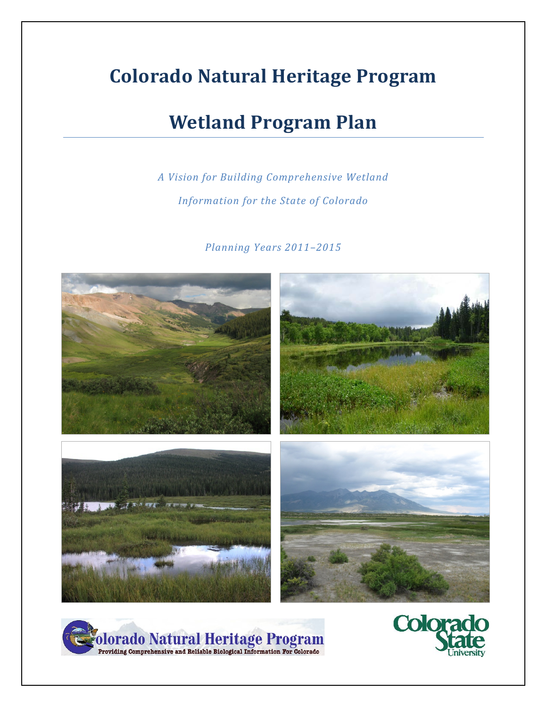# **Colorado Natural Heritage Program**

## **Wetland Program Plan**

## *A Vision for Building Comprehensive Wetland Information for the State of Colorado*

*Planning Years 2011–2015*





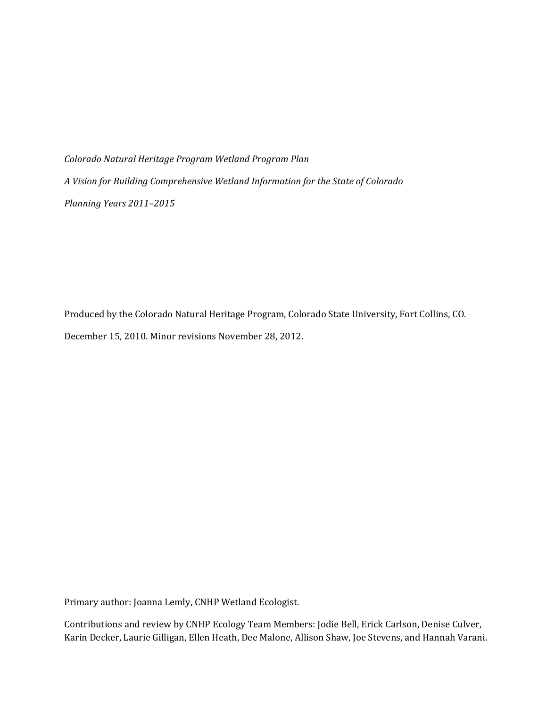*Colorado Natural Heritage Program Wetland Program Plan A Vision for Building Comprehensive Wetland Information for the State of Colorado Planning Years 2011–2015*

Produced by the Colorado Natural Heritage Program, Colorado State University, Fort Collins, CO. December 15, 2010. Minor revisions November 28, 2012.

Primary author: Joanna Lemly, CNHP Wetland Ecologist.

Contributions and review by CNHP Ecology Team Members: Jodie Bell, Erick Carlson, Denise Culver, Karin Decker, Laurie Gilligan, Ellen Heath, Dee Malone, Allison Shaw, Joe Stevens, and Hannah Varani.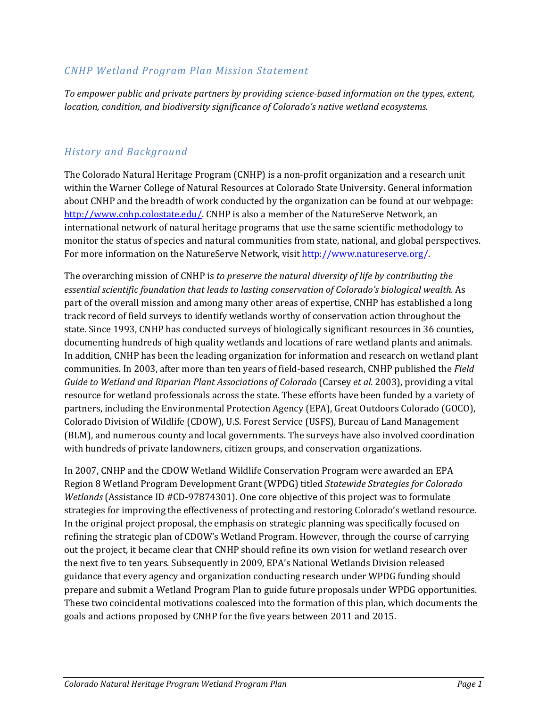#### *CNHP Wetland Program Plan Mission Statement*

*To empower public and private partners by providing science-based information on the types, extent, location, condition, and biodiversity significance of Colorado's native wetland ecosystems.*

#### *History and Background*

The Colorado Natural Heritage Program (CNHP) is a non-profit organization and a research unit within the Warner College of Natural Resources at Colorado State University. General information about CNHP and the breadth of work conducted by the organization can be found at our webpage: [http://www.cnhp.colostate.edu/.](http://www.cnhp.colostate.edu/) CNHP is also a member of the NatureServe Network, an international network of natural heritage programs that use the same scientific methodology to monitor the status of species and natural communities from state, national, and global perspectives. For more information on the NatureServe Network, visit [http://www.natureserve.org/.](http://www.natureserve.org/) 

The overarching mission of CNHP is *to preserve the natural diversity of life by contributing the essential scientific foundation that leads to lasting conservation of Colorado's biological wealth.* As part of the overall mission and among many other areas of expertise, CNHP has established a long track record of field surveys to identify wetlands worthy of conservation action throughout the state. Since 1993, CNHP has conducted surveys of biologically significant resources in 36 counties, documenting hundreds of high quality wetlands and locations of rare wetland plants and animals. In addition, CNHP has been the leading organization for information and research on wetland plant communities. In 2003, after more than ten years of field-based research, CNHP published the *Field Guide to Wetland and Riparian Plant Associations of Colorado* (Carsey *et al.* 2003), providing a vital resource for wetland professionals across the state. These efforts have been funded by a variety of partners, including the Environmental Protection Agency (EPA), Great Outdoors Colorado (GOCO), Colorado Division of Wildlife (CDOW), U.S. Forest Service (USFS), Bureau of Land Management (BLM), and numerous county and local governments. The surveys have also involved coordination with hundreds of private landowners, citizen groups, and conservation organizations.

In 2007, CNHP and the CDOW Wetland Wildlife Conservation Program were awarded an EPA Region 8 Wetland Program Development Grant (WPDG) titled *Statewide Strategies for Colorado Wetlands* (Assistance ID #CD-97874301). One core objective of this project was to formulate strategies for improving the effectiveness of protecting and restoring Colorado's wetland resource. In the original project proposal, the emphasis on strategic planning was specifically focused on refining the strategic plan of CDOW's Wetland Program. However, through the course of carrying out the project, it became clear that CNHP should refine its own vision for wetland research over the next five to ten years. Subsequently in 2009, EPA's National Wetlands Division released guidance that every agency and organization conducting research under WPDG funding should prepare and submit a Wetland Program Plan to guide future proposals under WPDG opportunities. These two coincidental motivations coalesced into the formation of this plan, which documents the goals and actions proposed by CNHP for the five years between 2011 and 2015.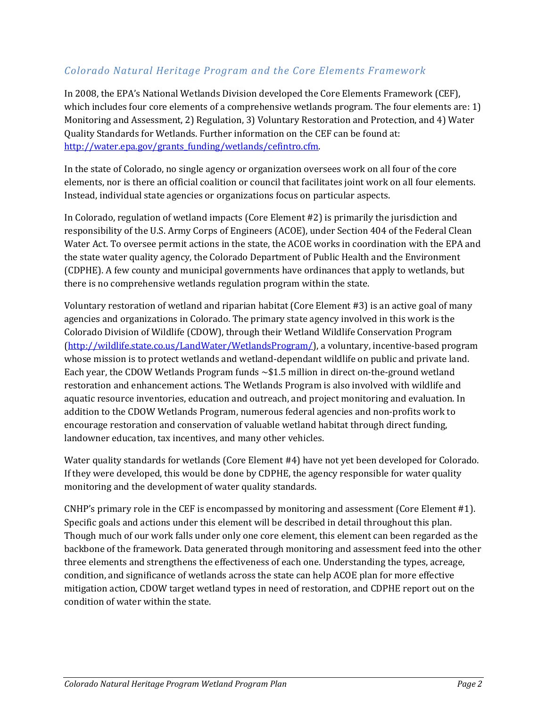### *Colorado Natural Heritage Program and the Core Elements Framework*

In 2008, the EPA's National Wetlands Division developed the Core Elements Framework (CEF), which includes four core elements of a comprehensive wetlands program. The four elements are: 1) Monitoring and Assessment, 2) Regulation, 3) Voluntary Restoration and Protection, and 4) Water Quality Standards for Wetlands. Further information on the CEF can be found at: [http://water.epa.gov/grants\\_funding/wetlands/cefintro.cfm.](http://water.epa.gov/grants_funding/wetlands/cefintro.cfm)

In the state of Colorado, no single agency or organization oversees work on all four of the core elements, nor is there an official coalition or council that facilitates joint work on all four elements. Instead, individual state agencies or organizations focus on particular aspects.

In Colorado, regulation of wetland impacts (Core Element #2) is primarily the jurisdiction and responsibility of the U.S. Army Corps of Engineers (ACOE), under Section 404 of the Federal Clean Water Act. To oversee permit actions in the state, the ACOE works in coordination with the EPA and the state water quality agency, the Colorado Department of Public Health and the Environment (CDPHE). A few county and municipal governments have ordinances that apply to wetlands, but there is no comprehensive wetlands regulation program within the state.

Voluntary restoration of wetland and riparian habitat (Core Element #3) is an active goal of many agencies and organizations in Colorado. The primary state agency involved in this work is the Colorado Division of Wildlife (CDOW), through their Wetland Wildlife Conservation Program [\(http://wildlife.state.co.us/LandWater/WetlandsProgram/\)](http://wildlife.state.co.us/LandWater/WetlandsProgram/), a voluntary, incentive-based program whose mission is to protect wetlands and wetland-dependant wildlife on public and private land. Each year, the CDOW Wetlands Program funds ~\$1.5 million in direct on-the-ground wetland restoration and enhancement actions. The Wetlands Program is also involved with wildlife and aquatic resource inventories, education and outreach, and project monitoring and evaluation. In addition to the CDOW Wetlands Program, numerous federal agencies and non-profits work to encourage restoration and conservation of valuable wetland habitat through direct funding, landowner education, tax incentives, and many other vehicles.

Water quality standards for wetlands (Core Element #4) have not yet been developed for Colorado. If they were developed, this would be done by CDPHE, the agency responsible for water quality monitoring and the development of water quality standards.

CNHP's primary role in the CEF is encompassed by monitoring and assessment (Core Element #1). Specific goals and actions under this element will be described in detail throughout this plan. Though much of our work falls under only one core element, this element can been regarded as the backbone of the framework. Data generated through monitoring and assessment feed into the other three elements and strengthens the effectiveness of each one. Understanding the types, acreage, condition, and significance of wetlands across the state can help ACOE plan for more effective mitigation action, CDOW target wetland types in need of restoration, and CDPHE report out on the condition of water within the state.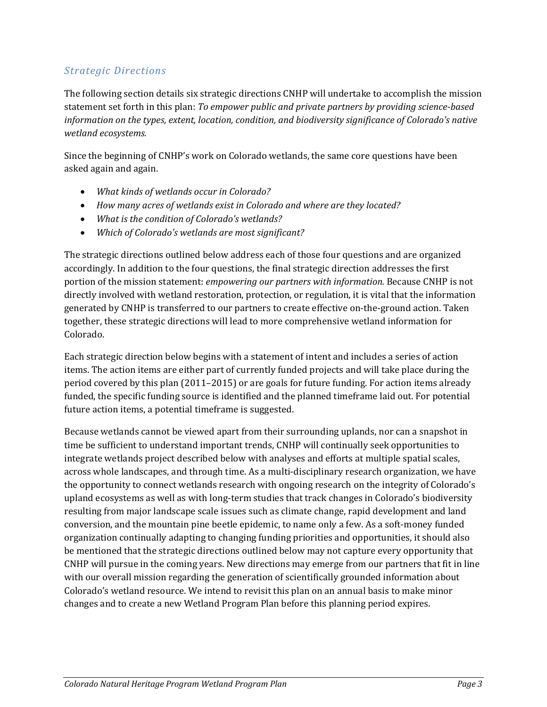## *Strategic Directions*

The following section details six strategic directions CNHP will undertake to accomplish the mission statement set forth in this plan: *To empower public and private partners by providing science-based information on the types, extent, location, condition, and biodiversity significance of Colorado's native wetland ecosystems.*

Since the beginning of CNHP's work on Colorado wetlands, the same core questions have been asked again and again.

- *What kinds of wetlands occur in Colorado?*
- *How many acres of wetlands exist in Colorado and where are they located?*
- *What is the condition of Colorado's wetlands?*
- *Which of Colorado's wetlands are most significant?*

The strategic directions outlined below address each of those four questions and are organized accordingly. In addition to the four questions, the final strategic direction addresses the first portion of the mission statement: *empowering our partners with information.* Because CNHP is not directly involved with wetland restoration, protection, or regulation, it is vital that the information generated by CNHP is transferred to our partners to create effective on-the-ground action. Taken together, these strategic directions will lead to more comprehensive wetland information for Colorado.

Each strategic direction below begins with a statement of intent and includes a series of action items. The action items are either part of currently funded projects and will take place during the period covered by this plan (2011–2015) or are goals for future funding. For action items already funded, the specific funding source is identified and the planned timeframe laid out. For potential future action items, a potential timeframe is suggested.

Because wetlands cannot be viewed apart from their surrounding uplands, nor can a snapshot in time be sufficient to understand important trends, CNHP will continually seek opportunities to integrate wetlands project described below with analyses and efforts at multiple spatial scales, across whole landscapes, and through time. As a multi-disciplinary research organization, we have the opportunity to connect wetlands research with ongoing research on the integrity of Colorado's upland ecosystems as well as with long-term studies that track changes in Colorado's biodiversity resulting from major landscape scale issues such as climate change, rapid development and land conversion, and the mountain pine beetle epidemic, to name only a few. As a soft-money funded organization continually adapting to changing funding priorities and opportunities, it should also be mentioned that the strategic directions outlined below may not capture every opportunity that CNHP will pursue in the coming years. New directions may emerge from our partners that fit in line with our overall mission regarding the generation of scientifically grounded information about Colorado's wetland resource. We intend to revisit this plan on an annual basis to make minor changes and to create a new Wetland Program Plan before this planning period expires.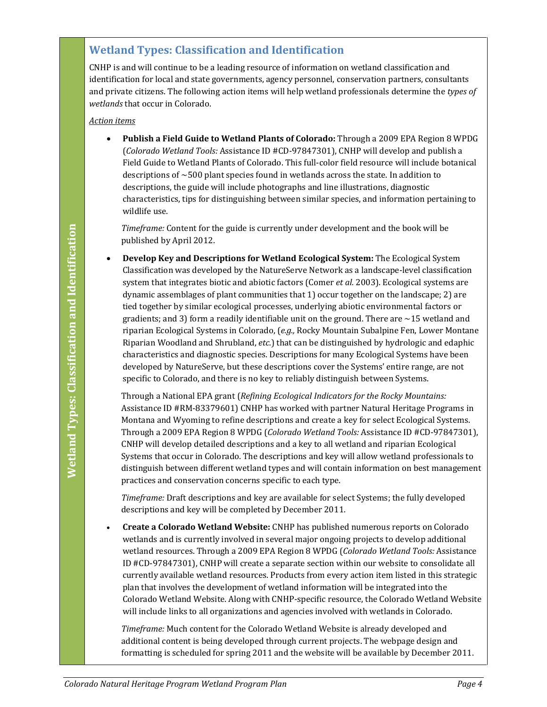## **Wetland Types: Classification and Identification**

CNHP is and will continue to be a leading resource of information on wetland classification and identification for local and state governments, agency personnel, conservation partners, consultants and private citizens. The following action items will help wetland professionals determine the *types of wetlands* that occur in Colorado.

#### *Action items*

• **Publish a Field Guide to Wetland Plants of Colorado:** Through a 2009 EPA Region 8 WPDG (*Colorado Wetland Tools:* Assistance ID #CD-97847301), CNHP will develop and publish a Field Guide to Wetland Plants of Colorado. This full-color field resource will include botanical descriptions of ~500 plant species found in wetlands across the state. In addition to descriptions, the guide will include photographs and line illustrations, diagnostic characteristics, tips for distinguishing between similar species, and information pertaining to wildlife use.

*Timeframe:* Content for the guide is currently under development and the book will be published by April 2012.

*Coloration Coloration Coloration Coloration Coloration Coloration Coloration Coloration Coloration Coloration Coloration Coloration Coloration Coloration Coloration Coloration Coloration Coloration Coloration Coloration C* • **Develop Key and Descriptions for Wetland Ecological System:** The Ecological System Classification was developed by the NatureServe Network as a landscape-level classification system that integrates biotic and abiotic factors (Comer *et al.* 2003). Ecological systems are dynamic assemblages of plant communities that 1) occur together on the landscape; 2) are tied together by similar ecological processes, underlying abiotic environmental factors or gradients; and 3) form a readily identifiable unit on the ground. There are  $\sim$  15 wetland and riparian Ecological Systems in Colorado, (*e.g.,* Rocky Mountain Subalpine Fen, Lower Montane Riparian Woodland and Shrubland, *etc.*) that can be distinguished by hydrologic and edaphic characteristics and diagnostic species. Descriptions for many Ecological Systems have been developed by NatureServe, but these descriptions cover the Systems' entire range, are not specific to Colorado, and there is no key to reliably distinguish between Systems.

Through a National EPA grant (*Refining Ecological Indicators for the Rocky Mountains:* Assistance ID #RM-83379601) CNHP has worked with partner Natural Heritage Programs in Montana and Wyoming to refine descriptions and create a key for select Ecological Systems. Through a 2009 EPA Region 8 WPDG (*Colorado Wetland Tools:* Assistance ID #CD-97847301), CNHP will develop detailed descriptions and a key to all wetland and riparian Ecological Systems that occur in Colorado. The descriptions and key will allow wetland professionals to distinguish between different wetland types and will contain information on best management practices and conservation concerns specific to each type.

*Timeframe:* Draft descriptions and key are available for select Systems; the fully developed descriptions and key will be completed by December 2011.

• **Create a Colorado Wetland Website:** CNHP has published numerous reports on Colorado wetlands and is currently involved in several major ongoing projects to develop additional wetland resources. Through a 2009 EPA Region 8 WPDG (*Colorado Wetland Tools:* Assistance ID #CD-97847301), CNHP will create a separate section within our website to consolidate all currently available wetland resources. Products from every action item listed in this strategic plan that involves the development of wetland information will be integrated into the Colorado Wetland Website. Along with CNHP-specific resource, the Colorado Wetland Website will include links to all organizations and agencies involved with wetlands in Colorado.

*Timeframe:* Much content for the Colorado Wetland Website is already developed and additional content is being developed through current projects. The webpage design and formatting is scheduled for spring 2011 and the website will be available by December 2011.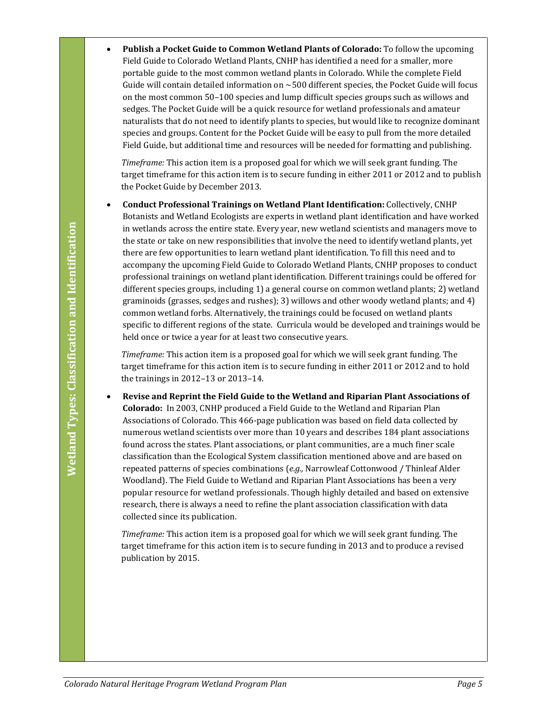• **Publish a Pocket Guide to Common Wetland Plants of Colorado:** To follow the upcoming Field Guide to Colorado Wetland Plants, CNHP has identified a need for a smaller, more portable guide to the most common wetland plants in Colorado. While the complete Field Guide will contain detailed information on ~500 different species, the Pocket Guide will focus on the most common 50–100 species and lump difficult species groups such as willows and sedges. The Pocket Guide will be a quick resource for wetland professionals and amateur naturalists that do not need to identify plants to species, but would like to recognize dominant species and groups. Content for the Pocket Guide will be easy to pull from the more detailed Field Guide, but additional time and resources will be needed for formatting and publishing.

*Timeframe:* This action item is a proposed goal for which we will seek grant funding. The target timeframe for this action item is to secure funding in either 2011 or 2012 and to publish the Pocket Guide by December 2013.

• **Conduct Professional Trainings on Wetland Plant Identification:** Collectively, CNHP Botanists and Wetland Ecologists are experts in wetland plant identification and have worked in wetlands across the entire state. Every year, new wetland scientists and managers move to the state or take on new responsibilities that involve the need to identify wetland plants, yet there are few opportunities to learn wetland plant identification. To fill this need and to accompany the upcoming Field Guide to Colorado Wetland Plants, CNHP proposes to conduct professional trainings on wetland plant identification. Different trainings could be offered for different species groups, including 1) a general course on common wetland plants; 2) wetland graminoids (grasses, sedges and rushes); 3) willows and other woody wetland plants; and 4) common wetland forbs. Alternatively, the trainings could be focused on wetland plants specific to different regions of the state. Curricula would be developed and trainings would be held once or twice a year for at least two consecutive years.

*Timeframe:* This action item is a proposed goal for which we will seek grant funding. The target timeframe for this action item is to secure funding in either 2011 or 2012 and to hold the trainings in 2012–13 or 2013–14.

**Colorado Natural Heritage Program Extracts Event y and the model scientists and managers move to entropy the accompany the upcoming Field Guide to Golorado Wetland Plants, GNI this meet and to accompany the upcoming Fiel** • **Revise and Reprint the Field Guide to the Wetland and Riparian Plant Associations of Colorado:** In 2003, CNHP produced a Field Guide to the Wetland and Riparian Plan Associations of Colorado. This 466-page publication was based on field data collected by numerous wetland scientists over more than 10 years and describes 184 plant associations found across the states. Plant associations, or plant communities, are a much finer scale classification than the Ecological System classification mentioned above and are based on repeated patterns of species combinations (*e.g.,* Narrowleaf Cottonwood / Thinleaf Alder Woodland). The Field Guide to Wetland and Riparian Plant Associations has been a very popular resource for wetland professionals. Though highly detailed and based on extensive research, there is always a need to refine the plant association classification with data collected since its publication.

*Timeframe:* This action item is a proposed goal for which we will seek grant funding. The target timeframe for this action item is to secure funding in 2013 and to produce a revised publication by 2015.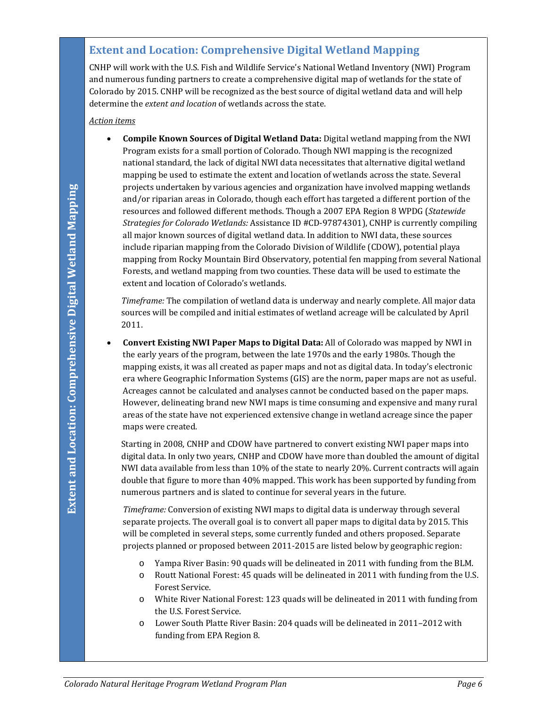### **Extent and Location: Comprehensive Digital Wetland Mapping**

CNHP will work with the U.S. Fish and Wildlife Service's National Wetland Inventory (NWI) Program and numerous funding partners to create a comprehensive digital map of wetlands for the state of Colorado by 2015. CNHP will be recognized as the best source of digital wetland data and will help determine the *extent and location* of wetlands across the state.

*Action items*

**Colorato Natural Heritage Program Wetland Program Plano Internation have involved manping wetland Program Wetland Plano International Area and Schoring Companies and Schoring Structure Companies of Forest Alexandre Propri** • **Compile Known Sources of Digital Wetland Data:** Digital wetland mapping from the NWI Program exists for a small portion of Colorado. Though NWI mapping is the recognized national standard, the lack of digital NWI data necessitates that alternative digital wetland mapping be used to estimate the extent and location of wetlands across the state. Several projects undertaken by various agencies and organization have involved mapping wetlands and/or riparian areas in Colorado, though each effort has targeted a different portion of the resources and followed different methods. Though a 2007 EPA Region 8 WPDG (*Statewide Strategies for Colorado Wetlands:* Assistance ID #CD-97874301), CNHP is currently compiling all major known sources of digital wetland data. In addition to NWI data, these sources include riparian mapping from the Colorado Division of Wildlife (CDOW), potential playa mapping from Rocky Mountain Bird Observatory, potential fen mapping from several National Forests, and wetland mapping from two counties. These data will be used to estimate the extent and location of Colorado's wetlands.

*Timeframe:* The compilation of wetland data is underway and nearly complete. All major data sources will be compiled and initial estimates of wetland acreage will be calculated by April 2011.

• **Convert Existing NWI Paper Maps to Digital Data:** All of Colorado was mapped by NWI in the early years of the program, between the late 1970s and the early 1980s. Though the mapping exists, it was all created as paper maps and not as digital data. In today's electronic era where Geographic Information Systems (GIS) are the norm, paper maps are not as useful. Acreages cannot be calculated and analyses cannot be conducted based on the paper maps. However, delineating brand new NWI maps is time consuming and expensive and many rural areas of the state have not experienced extensive change in wetland acreage since the paper maps were created.

Starting in 2008, CNHP and CDOW have partnered to convert existing NWI paper maps into digital data. In only two years, CNHP and CDOW have more than doubled the amount of digital NWI data available from less than 10% of the state to nearly 20%. Current contracts will again double that figure to more than 40% mapped. This work has been supported by funding from numerous partners and is slated to continue for several years in the future.

*Timeframe:* Conversion of existing NWI maps to digital data is underway through several separate projects. The overall goal is to convert all paper maps to digital data by 2015. This will be completed in several steps, some currently funded and others proposed. Separate projects planned or proposed between 2011-2015 are listed below by geographic region:

- o Yampa River Basin: 90 quads will be delineated in 2011 with funding from the BLM.
- o Routt National Forest: 45 quads will be delineated in 2011 with funding from the U.S. Forest Service.
- o White River National Forest: 123 quads will be delineated in 2011 with funding from the U.S. Forest Service.
- o Lower South Platte River Basin: 204 quads will be delineated in 2011–2012 with funding from EPA Region 8.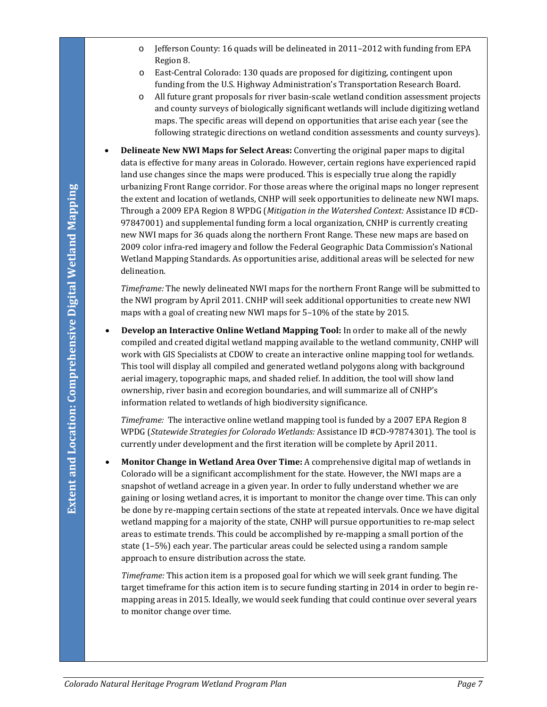- o Jefferson County: 16 quads will be delineated in 2011–2012 with funding from EPA Region 8.
- o East-Central Colorado: 130 quads are proposed for digitizing, contingent upon funding from the U.S. Highway Administration's Transportation Research Board.
- o All future grant proposals for river basin-scale wetland condition assessment projects and county surveys of biologically significant wetlands will include digitizing wetland maps. The specific areas will depend on opportunities that arise each year (see the following strategic directions on wetland condition assessments and county surveys).
- **Delineate New NWI Maps for Select Areas:** Converting the original paper maps to digital data is effective for many areas in Colorado. However, certain regions have experienced rapid land use changes since the maps were produced. This is especially true along the rapidly urbanizing Front Range corridor. For those areas where the original maps no longer represent the extent and location of wetlands, CNHP will seek opportunities to delineate new NWI maps. Through a 2009 EPA Region 8 WPDG (*Mitigation in the Watershed Context:* Assistance ID #CD-97847001) and supplemental funding form a local organization, CNHP is currently creating new NWI maps for 36 quads along the northern Front Range. These new maps are based on 2009 color infra-red imagery and follow the Federal Geographic Data Commission's National Wetland Mapping Standards. As opportunities arise, additional areas will be selected for new delineation.

*Timeframe:* The newly delineated NWI maps for the northern Front Range will be submitted to the NWI program by April 2011. CNHP will seek additional opportunities to create new NWI maps with a goal of creating new NWI maps for 5–10% of the state by 2015.

• **Develop an Interactive Online Wetland Mapping Tool:** In order to make all of the newly compiled and created digital wetland mapping available to the wetland community, CNHP will work with GIS Specialists at CDOW to create an interactive online mapping tool for wetlands. This tool will display all compiled and generated wetland polygons along with background aerial imagery, topographic maps, and shaded relief. In addition, the tool will show land ownership, river basin and ecoregion boundaries, and will summarize all of CNHP's information related to wetlands of high biodiversity significance.

*Timeframe:* The interactive online wetland mapping tool is funded by a 2007 EPA Region 8 WPDG (*Statewide Strategies for Colorado Wetlands:* Assistance ID #CD-97874301). The tool is currently under development and the first iteration will be complete by April 2011.

**Colorado Natural Heritage Controls: For Unions and Natural Program Plano Interior Colorado Natural Program Program Plano Natural Program Plano Natural Program Program Plano Natural Program Plano Natural Program Program Pr** • **Monitor Change in Wetland Area Over Time:** A comprehensive digital map of wetlands in Colorado will be a significant accomplishment for the state. However, the NWI maps are a snapshot of wetland acreage in a given year. In order to fully understand whether we are gaining or losing wetland acres, it is important to monitor the change over time. This can only be done by re-mapping certain sections of the state at repeated intervals. Once we have digital wetland mapping for a majority of the state, CNHP will pursue opportunities to re-map select areas to estimate trends. This could be accomplished by re-mapping a small portion of the state (1–5%) each year. The particular areas could be selected using a random sample approach to ensure distribution across the state.

*Timeframe:* This action item is a proposed goal for which we will seek grant funding. The target timeframe for this action item is to secure funding starting in 2014 in order to begin remapping areas in 2015. Ideally, we would seek funding that could continue over several years to monitor change over time.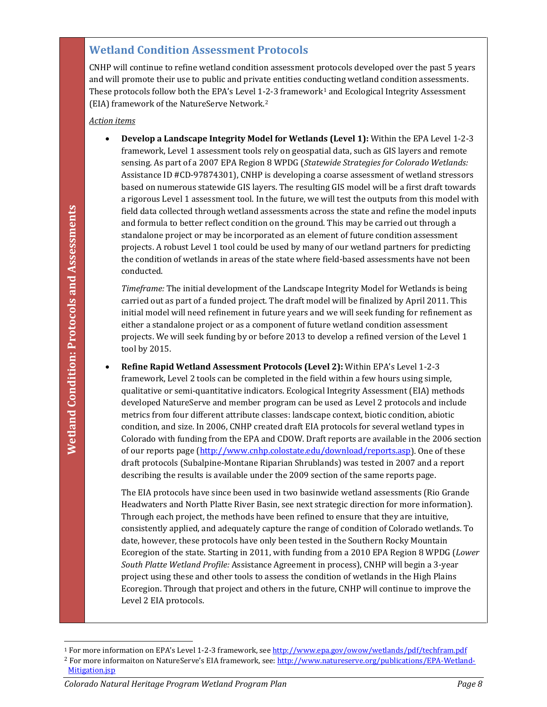#### **Wetland Condition Assessment Protocols**

CNHP will continue to refine wetland condition assessment protocols developed over the past 5 years and will promote their use to public and private entities conducting wetland condition assessments. These protocols follow both the EPA's Level [1](#page-9-0)-2-3 framework<sup>1</sup> and Ecological Integrity Assessment (EIA) framework of the NatureServe Network.[2](#page-9-1) 

#### *Action items*

• **Develop a Landscape Integrity Model for Wetlands (Level 1):** Within the EPA Level 1-2-3 framework, Level 1 assessment tools rely on geospatial data, such as GIS layers and remote sensing. As part of a 2007 EPA Region 8 WPDG (*Statewide Strategies for Colorado Wetlands:*  Assistance ID #CD-97874301), CNHP is developing a coarse assessment of wetland stressors based on numerous statewide GIS layers. The resulting GIS model will be a first draft towards a rigorous Level 1 assessment tool. In the future, we will test the outputs from this model with field data collected through wetland assessments across the state and refine the model inputs and formula to better reflect condition on the ground. This may be carried out through a standalone project or may be incorporated as an element of future condition assessment projects. A robust Level 1 tool could be used by many of our wetland partners for predicting the condition of wetlands in areas of the state where field-based assessments have not been conducted.

*Timeframe:* The initial development of the Landscape Integrity Model for Wetlands is being carried out as part of a funded project. The draft model will be finalized by April 2011. This initial model will need refinement in future years and we will seek funding for refinement as either a standalone project or as a component of future wetland condition assessment projects. We will seek funding by or before 2013 to develop a refined version of the Level 1 tool by 2015.

**Colorado with translate and referent active and reference and reference and reference and remote the stress and reference propresents are the incorporated as an element of frontwe condition assessments have not been prop** • **Refine Rapid Wetland Assessment Protocols (Level 2):** Within EPA's Level 1-2-3 framework, Level 2 tools can be completed in the field within a few hours using simple, qualitative or semi-quantitative indicators. Ecological Integrity Assessment (EIA) methods developed NatureServe and member program can be used as Level 2 protocols and include metrics from four different attribute classes: landscape context, biotic condition, abiotic condition, and size. In 2006, CNHP created draft EIA protocols for several wetland types in Colorado with funding from the EPA and CDOW. Draft reports are available in the 2006 section of our reports page [\(http://www.cnhp.colostate.edu/download/reports.asp\)](http://www.cnhp.colostate.edu/download/reports.asp). One of these draft protocols (Subalpine-Montane Riparian Shrublands) was tested in 2007 and a report describing the results is available under the 2009 section of the same reports page.

The EIA protocols have since been used in two basinwide wetland assessments (Rio Grande Headwaters and North Platte River Basin, see next strategic direction for more information). Through each project, the methods have been refined to ensure that they are intuitive, consistently applied, and adequately capture the range of condition of Colorado wetlands. To date, however, these protocols have only been tested in the Southern Rocky Mountain Ecoregion of the state. Starting in 2011, with funding from a 2010 EPA Region 8 WPDG (*Lower South Platte Wetland Profile:* Assistance Agreement in process), CNHP will begin a 3-year project using these and other tools to assess the condition of wetlands in the High Plains Ecoregion. Through that project and others in the future, CNHP will continue to improve the Level 2 EIA protocols.

<span id="page-9-0"></span>j <sup>1</sup> For more information on EPA's Level 1-2-3 framework, see <u>http://www.epa.gov/owow/wetlands/pdf/techfram.pdf</u>

<span id="page-9-1"></span><sup>&</sup>lt;sup>2</sup> For more informaiton on NatureServe's EIA framework, see[: http://www.natureserve.org/publications/EPA-Wetland-](http://www.natureserve.org/publications/EPA-Wetland-Mitigation.jsp)[Mitigation.jsp](http://www.natureserve.org/publications/EPA-Wetland-Mitigation.jsp)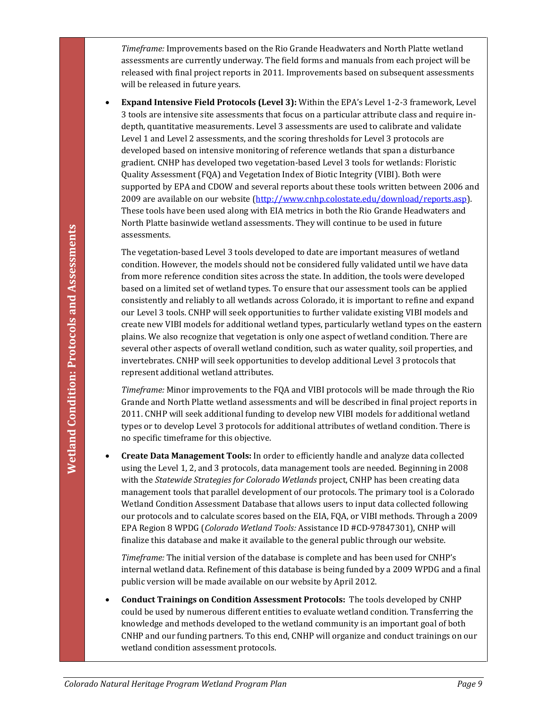*Timeframe:* Improvements based on the Rio Grande Headwaters and North Platte wetland assessments are currently underway. The field forms and manuals from each project will be released with final project reports in 2011. Improvements based on subsequent assessments will be released in future years.

• **Expand Intensive Field Protocols (Level 3):** Within the EPA's Level 1-2-3 framework, Level 3 tools are intensive site assessments that focus on a particular attribute class and require indepth, quantitative measurements. Level 3 assessments are used to calibrate and validate Level 1 and Level 2 assessments, and the scoring thresholds for Level 3 protocols are developed based on intensive monitoring of reference wetlands that span a disturbance gradient. CNHP has developed two vegetation-based Level 3 tools for wetlands: Floristic Quality Assessment (FQA) and Vegetation Index of Biotic Integrity (VIBI). Both were supported by EPA and CDOW and several reports about these tools written between 2006 and 2009 are available on our website [\(http://www.cnhp.colostate.edu/download/reports.asp\)](http://www.cnhp.colostate.edu/download/reports.asp). These tools have been used along with EIA metrics in both the Rio Grande Headwaters and North Platte basinwide wetland assessments. They will continue to be used in future assessments.

**Coloration:** The mature of the mature of the mature of the system and the vector of the vector of the vector of the vector of the system by the maturity of the distant Production Heritage Condition. However, the middles The vegetation-based Level 3 tools developed to date are important measures of wetland condition. However, the models should not be considered fully validated until we have data from more reference condition sites across the state. In addition, the tools were developed based on a limited set of wetland types. To ensure that our assessment tools can be applied consistently and reliably to all wetlands across Colorado, it is important to refine and expand our Level 3 tools. CNHP will seek opportunities to further validate existing VIBI models and create new VIBI models for additional wetland types, particularly wetland types on the eastern plains. We also recognize that vegetation is only one aspect of wetland condition. There are several other aspects of overall wetland condition, such as water quality, soil properties, and invertebrates. CNHP will seek opportunities to develop additional Level 3 protocols that represent additional wetland attributes.

*Timeframe:* Minor improvements to the FQA and VIBI protocols will be made through the Rio Grande and North Platte wetland assessments and will be described in final project reports in 2011. CNHP will seek additional funding to develop new VIBI models for additional wetland types or to develop Level 3 protocols for additional attributes of wetland condition. There is no specific timeframe for this objective.

• **Create Data Management Tools:** In order to efficiently handle and analyze data collected using the Level 1, 2, and 3 protocols, data management tools are needed. Beginning in 2008 with the *Statewide Strategies for Colorado Wetlands* project, CNHP has been creating data management tools that parallel development of our protocols. The primary tool is a Colorado Wetland Condition Assessment Database that allows users to input data collected following our protocols and to calculate scores based on the EIA, FQA, or VIBI methods. Through a 2009 EPA Region 8 WPDG (*Colorado Wetland Tools:* Assistance ID #CD-97847301), CNHP will finalize this database and make it available to the general public through our website.

*Timeframe:* The initial version of the database is complete and has been used for CNHP's internal wetland data. Refinement of this database is being funded by a 2009 WPDG and a final public version will be made available on our website by April 2012.

• **Conduct Trainings on Condition Assessment Protocols:** The tools developed by CNHP could be used by numerous different entities to evaluate wetland condition. Transferring the knowledge and methods developed to the wetland community is an important goal of both CNHP and our funding partners. To this end, CNHP will organize and conduct trainings on our wetland condition assessment protocols.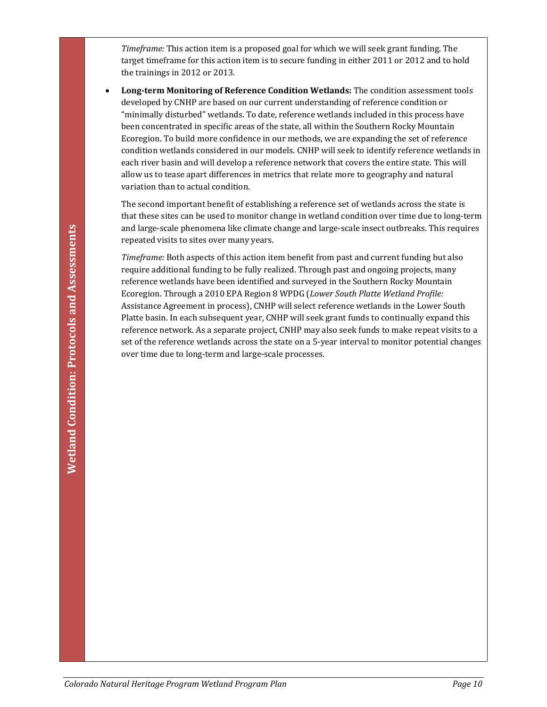*Timeframe:* This action item is a proposed goal for which we will seek grant funding. The target timeframe for this action item is to secure funding in either 2011 or 2012 and to hold the trainings in 2012 or 2013.

• **Long-term Monitoring of Reference Condition Wetlands:** The condition assessment tools developed by CNHP are based on our current understanding of reference condition or "minimally disturbed" wetlands. To date, reference wetlands included in this process have been concentrated in specific areas of the state, all within the Southern Rocky Mountain Ecoregion. To build more confidence in our methods, we are expanding the set of reference condition wetlands considered in our models. CNHP will seek to identify reference wetlands in each river basin and will develop a reference network that covers the entire state. This will allow us to tease apart differences in metrics that relate more to geography and natural variation than to actual condition.

The second important benefit of establishing a reference set of wetlands across the state is that these sites can be used to monitor change in wetland condition over time due to long-term and large-scale phenomena like climate change and large-scale insect outbreaks. This requires repeated visits to sites over many years.

*Colorado Natural Heritage Program Wetland Program Plan*<br>
Colorado Natural Heritage Program Wetland Conditions and Assessment Protocols and Assessment Protocols and Assessment Protocols and Assessment Protocols and Assessm *Timeframe:* Both aspects of this action item benefit from past and current funding but also require additional funding to be fully realized. Through past and ongoing projects, many reference wetlands have been identified and surveyed in the Southern Rocky Mountain Ecoregion. Through a 2010 EPA Region 8 WPDG (*Lower South Platte Wetland Profile:*  Assistance Agreement in process), CNHP will select reference wetlands in the Lower South Platte basin. In each subsequent year, CNHP will seek grant funds to continually expand this reference network. As a separate project, CNHP may also seek funds to make repeat visits to a set of the reference wetlands across the state on a 5-year interval to monitor potential changes over time due to long-term and large-scale processes.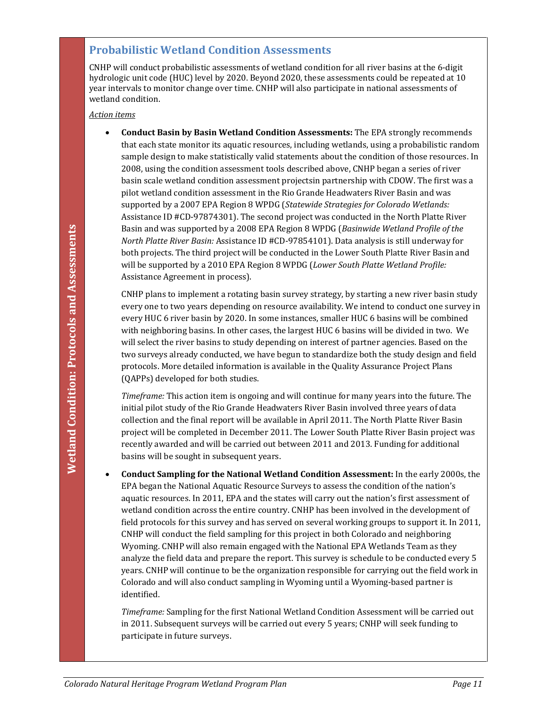#### **Probabilistic Wetland Condition Assessments**

CNHP will conduct probabilistic assessments of wetland condition for all river basins at the 6-digit hydrologic unit code (HUC) level by 2020. Beyond 2020, these assessments could be repeated at 10 year intervals to monitor change over time. CNHP will also participate in national assessments of wetland condition.

#### *Action items*

• **Conduct Basin by Basin Wetland Condition Assessments:** The EPA strongly recommends that each state monitor its aquatic resources, including wetlands, using a probabilistic random sample design to make statistically valid statements about the condition of those resources. In 2008, using the condition assessment tools described above, CNHP began a series of river basin scale wetland condition assessment projectsin partnership with CDOW. The first was a pilot wetland condition assessment in the Rio Grande Headwaters River Basin and was supported by a 2007 EPA Region 8 WPDG (*Statewide Strategies for Colorado Wetlands:* Assistance ID #CD-97874301). The second project was conducted in the North Platte River Basin and was supported by a 2008 EPA Region 8 WPDG (*Basinwide Wetland Profile of the North Platte River Basin:* Assistance ID #CD-97854101). Data analysis is still underway for both projects. The third project will be conducted in the Lower South Platte River Basin and will be supported by a 2010 EPA Region 8 WPDG (*Lower South Platte Wetland Profile:* Assistance Agreement in process).

CNHP plans to implement a rotating basin survey strategy, by starting a new river basin study every one to two years depending on resource availability. We intend to conduct one survey in every HUC 6 river basin by 2020. In some instances, smaller HUC 6 basins will be combined with neighboring basins. In other cases, the largest HUC 6 basins will be divided in two. We will select the river basins to study depending on interest of partner agencies. Based on the two surveys already conducted, we have begun to standardize both the study design and field protocols. More detailed information is available in the Quality Assurance Project Plans (QAPPs) developed for both studies.

*Timeframe:* This action item is ongoing and will continue for many years into the future. The initial pilot study of the Rio Grande Headwaters River Basin involved three years of data collection and the final report will be available in April 2011. The North Platte River Basin project will be completed in December 2011. The Lower South Platte River Basin project was recently awarded and will be carried out between 2011 and 2013. Funding for additional basins will be sought in subsequent years.

*Coloration Heritage Coloration and Wetland Coloration Protocols (Besitering Protocol Protocols and Protocols The Technical Protocols and the Protocols with project The third protocols with the conditions in the Lower Sout* • **Conduct Sampling for the National Wetland Condition Assessment:** In the early 2000s, the EPA began the National Aquatic Resource Surveys to assess the condition of the nation's aquatic resources. In 2011, EPA and the states will carry out the nation's first assessment of wetland condition across the entire country. CNHP has been involved in the development of field protocols for this survey and has served on several working groups to support it. In 2011, CNHP will conduct the field sampling for this project in both Colorado and neighboring Wyoming. CNHP will also remain engaged with the National EPA Wetlands Team as they analyze the field data and prepare the report. This survey is schedule to be conducted every 5 years. CNHP will continue to be the organization responsible for carrying out the field work in Colorado and will also conduct sampling in Wyoming until a Wyoming-based partner is identified.

*Timeframe:* Sampling for the first National Wetland Condition Assessment will be carried out in 2011. Subsequent surveys will be carried out every 5 years; CNHP will seek funding to participate in future surveys.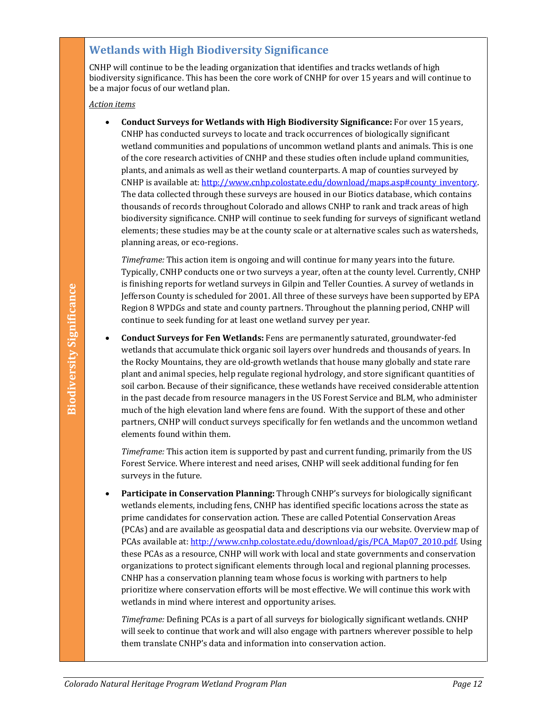## **Wetlands with High Biodiversity Significance**

CNHP will continue to be the leading organization that identifies and tracks wetlands of high biodiversity significance. This has been the core work of CNHP for over 15 years and will continue to be a major focus of our wetland plan.

*Action items*

• **Conduct Surveys for Wetlands with High Biodiversity Significance:** For over 15 years, CNHP has conducted surveys to locate and track occurrences of biologically significant wetland communities and populations of uncommon wetland plants and animals. This is one of the core research activities of CNHP and these studies often include upland communities, plants, and animals as well as their wetland counterparts. A map of counties surveyed by CNHP is available at: http://www.cnhp.colostate.edu/download/maps.asp#county\_inventory. The data collected through these surveys are housed in our Biotics database, which contains thousands of records throughout Colorado and allows CNHP to rank and track areas of high biodiversity significance. CNHP will continue to seek funding for surveys of significant wetland elements; these studies may be at the county scale or at alternative scales such as watersheds, planning areas, or eco-regions.

*Timeframe:* This action item is ongoing and will continue for many years into the future. Typically, CNHP conducts one or two surveys a year, often at the county level. Currently, CNHP is finishing reports for wetland surveys in Gilpin and Teller Counties. A survey of wetlands in Jefferson County is scheduled for 2001. All three of these surveys have been supported by EPA Region 8 WPDGs and state and county partners. Throughout the planning period, CNHP will continue to seek funding for at least one wetland survey per year.

• **Conduct Surveys for Fen Wetlands:** Fens are permanently saturated, groundwater-fed wetlands that accumulate thick organic soil layers over hundreds and thousands of years. In the Rocky Mountains, they are old-growth wetlands that house many globally and state rare plant and animal species, help regulate regional hydrology, and store significant quantities of soil carbon. Because of their significance, these wetlands have received considerable attention in the past decade from resource managers in the US Forest Service and BLM, who administer much of the high elevation land where fens are found. With the support of these and other partners, CNHP will conduct surveys specifically for fen wetlands and the uncommon wetland elements found within them.

*Timeframe:* This action item is supported by past and current funding, primarily from the US Forest Service. Where interest and need arises, CNHP will seek additional funding for fen surveys in the future.

**Colorado Natural Significal Singifical Singifical Singifical Singifical Singifical Singifical Program Wetland Singifical Program Planning period, CNHP will relate and David Singifical Planning period, CNHP will relate the** • **Participate in Conservation Planning:** Through CNHP's surveys for biologically significant wetlands elements, including fens, CNHP has identified specific locations across the state as prime candidates for conservation action. These are called Potential Conservation Areas (PCAs) and are available as geospatial data and descriptions via our website. Overview map of PCAs available at[: http://www.cnhp.colostate.edu/download/gis/PCA\\_Map07\\_2010.pdf.](http://www.cnhp.colostate.edu/download/gis/PCA_Map07_2010.pdf) Using these PCAs as a resource, CNHP will work with local and state governments and conservation organizations to protect significant elements through local and regional planning processes. CNHP has a conservation planning team whose focus is working with partners to help prioritize where conservation efforts will be most effective. We will continue this work with wetlands in mind where interest and opportunity arises.

*Timeframe:* Defining PCAs is a part of all surveys for biologically significant wetlands. CNHP will seek to continue that work and will also engage with partners wherever possible to help them translate CNHP's data and information into conservation action.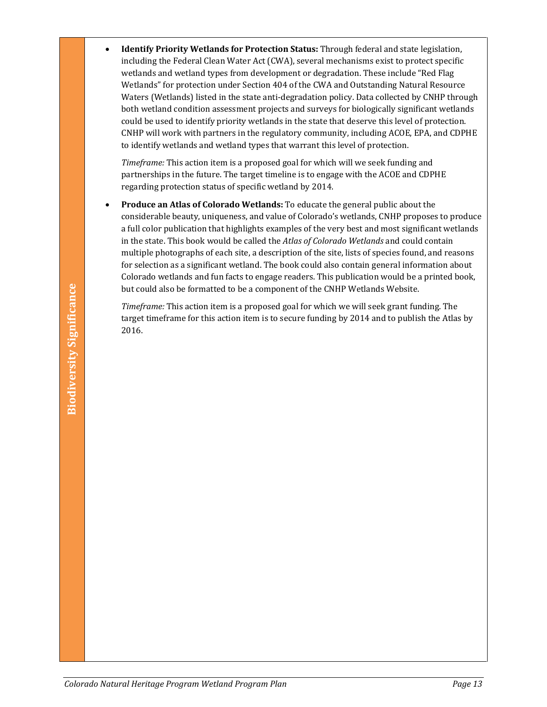• **Identify Priority Wetlands for Protection Status:** Through federal and state legislation, including the Federal Clean Water Act (CWA), several mechanisms exist to protect specific wetlands and wetland types from development or degradation. These include "Red Flag Wetlands" for protection under Section 404 of the CWA and Outstanding Natural Resource Waters (Wetlands) listed in the state anti-degradation policy. Data collected by CNHP through both wetland condition assessment projects and surveys for biologically significant wetlands could be used to identify priority wetlands in the state that deserve this level of protection. CNHP will work with partners in the regulatory community, including ACOE, EPA, and CDPHE to identify wetlands and wetland types that warrant this level of protection.

*Timeframe:* This action item is a proposed goal for which will we seek funding and partnerships in the future. The target timeline is to engage with the ACOE and CDPHE regarding protection status of specific wetland by 2014.

• **Produce an Atlas of Colorado Wetlands:** To educate the general public about the considerable beauty, uniqueness, and value of Colorado's wetlands, CNHP proposes to produce a full color publication that highlights examples of the very best and most significant wetlands in the state. This book would be called the *Atlas of Colorado Wetlands* and could contain multiple photographs of each site, a description of the site, lists of species found, and reasons for selection as a significant wetland. The book could also contain general information about Colorado wetlands and fun facts to engage readers. This publication would be a printed book, but could also be formatted to be a component of the CNHP Wetlands Website.

but could also be formatted to be a component of the CNHP Wetlands Website.<br> *Colorado Natural Imframe for this action tiem is to secure funding by 2014 and to publish the Atlas by*<br> **Colorado Natural Heritage Program Wet** *Timeframe:* This action item is a proposed goal for which we will seek grant funding. The target timeframe for this action item is to secure funding by 2014 and to publish the Atlas by 2016.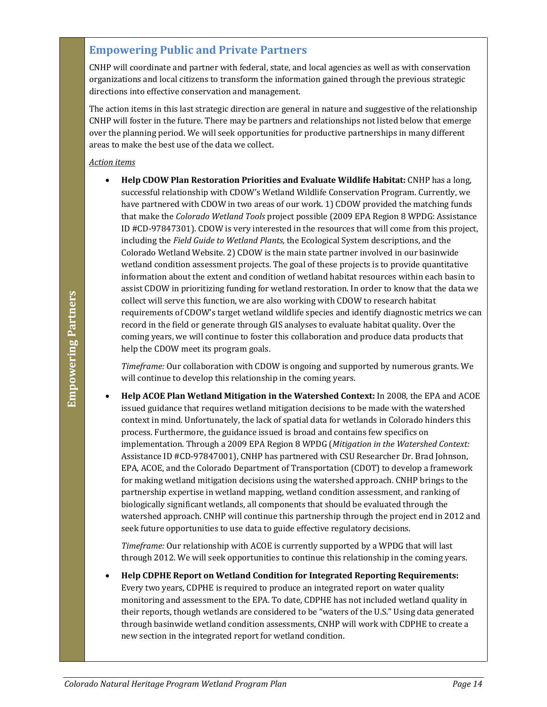### **Empowering Public and Private Partners**

CNHP will coordinate and partner with federal, state, and local agencies as well as with conservation organizations and local citizens to transform the information gained through the previous strategic directions into effective conservation and management.

The action items in this last strategic direction are general in nature and suggestive of the relationship CNHP will foster in the future. There may be partners and relationships not listed below that emerge over the planning period. We will seek opportunities for productive partnerships in many different areas to make the best use of the data we collect.

#### *Action items*

• **Help CDOW Plan Restoration Priorities and Evaluate Wildlife Habitat:** CNHP has a long, successful relationship with CDOW's Wetland Wildlife Conservation Program. Currently, we have partnered with CDOW in two areas of our work. 1) CDOW provided the matching funds that make the *Colorado Wetland Tools* project possible (2009 EPA Region 8 WPDG: Assistance ID #CD-97847301). CDOW is very interested in the resources that will come from this project, including the *Field Guide to Wetland Plants,* the Ecological System descriptions, and the Colorado Wetland Website. 2) CDOW is the main state partner involved in our basinwide wetland condition assessment projects. The goal of these projects is to provide quantitative information about the extent and condition of wetland habitat resources within each basin to assist CDOW in prioritizing funding for wetland restoration. In order to know that the data we collect will serve this function, we are also working with CDOW to research habitat requirements of CDOW's target wetland wildlife species and identify diagnostic metrics we can record in the field or generate through GIS analyses to evaluate habitat quality. Over the coming years, we will continue to foster this collaboration and produce data products that help the CDOW meet its program goals.

*Timeframe:* Our collaboration with CDOW is ongoing and supported by numerous grants. We will continue to develop this relationship in the coming years.

**Colorative The Internet Color School School School School School School School School School School School School School School School School School School School School School School School School School School School Sc** • **Help ACOE Plan Wetland Mitigation in the Watershed Context:** In 2008, the EPA and ACOE issued guidance that requires wetland mitigation decisions to be made with the watershed context in mind. Unfortunately, the lack of spatial data for wetlands in Colorado hinders this process. Furthermore, the guidance issued is broad and contains few specifics on implementation. Through a 2009 EPA Region 8 WPDG (*Mitigation in the Watershed Context:* Assistance ID #CD-97847001), CNHP has partnered with CSU Researcher Dr. Brad Johnson, EPA, ACOE, and the Colorado Department of Transportation (CDOT) to develop a framework for making wetland mitigation decisions using the watershed approach. CNHP brings to the partnership expertise in wetland mapping, wetland condition assessment, and ranking of biologically significant wetlands, all components that should be evaluated through the watershed approach. CNHP will continue this partnership through the project end in 2012 and seek future opportunities to use data to guide effective regulatory decisions.

*Timeframe:* Our relationship with ACOE is currently supported by a WPDG that will last through 2012. We will seek opportunities to continue this relationship in the coming years.

• **Help CDPHE Report on Wetland Condition for Integrated Reporting Requirements:** Every two years, CDPHE is required to produce an integrated report on water quality monitoring and assessment to the EPA. To date, CDPHE has not included wetland quality in their reports, though wetlands are considered to be "waters of the U.S." Using data generated through basinwide wetland condition assessments, CNHP will work with CDPHE to create a new section in the integrated report for wetland condition.